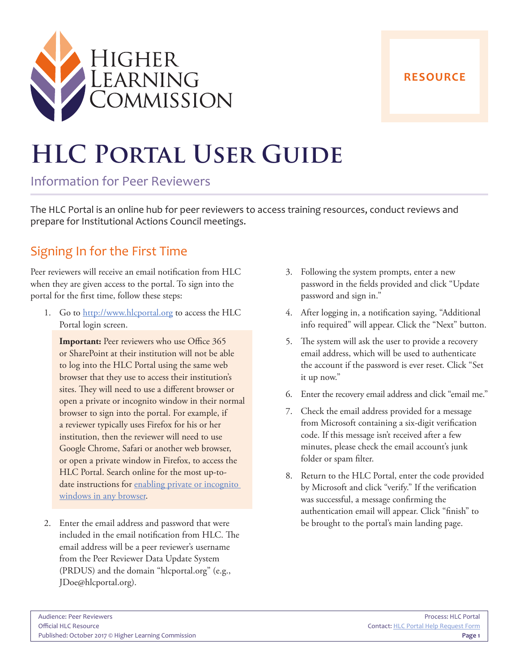

#### **RESOURCE**

# **HLC PORTAL USER GUIDE**

Information for Peer Reviewers

The HLC Portal is an online hub for peer reviewers to access training resources, conduct reviews and prepare for Institutional Actions Council meetings.

## Signing In for the First Time

Peer reviewers will receive an email notification from HLC when they are given access to the portal. To sign into the portal for the first time, follow these steps:

1. Go to <http://www.hlcportal.org>to access the HLC Portal login screen.

**Important:** Peer reviewers who use Office 365 or SharePoint at their institution will not be able to log into the HLC Portal using the same web browser that they use to access their institution's sites. They will need to use a different browser or open a private or incognito window in their normal browser to sign into the portal. For example, if a reviewer typically uses Firefox for his or her institution, then the reviewer will need to use Google Chrome, Safari or another web browser, or open a private window in Firefox, to access the HLC Portal. Search online for the most up-todate instructions for enabling private or incognito [windows in any browser.](https://www.google.com/search?q=how+to+enable+private+browsing+in+any+browser&ie=utf-8&oe=utf-8)

2. Enter the email address and password that were included in the email notification from HLC. The email address will be a peer reviewer's username from the Peer Reviewer Data Update System (PRDUS) and the domain "hlcportal.org" (e.g., JDoe@hlcportal.org).

- 3. Following the system prompts, enter a new password in the fields provided and click "Update password and sign in."
- 4. After logging in, a notification saying, "Additional info required" will appear. Click the "Next" button.
- 5. The system will ask the user to provide a recovery email address, which will be used to authenticate the account if the password is ever reset. Click "Set it up now."
- 6. Enter the recovery email address and click "email me."
- 7. Check the email address provided for a message from Microsoft containing a six-digit verification code. If this message isn't received after a few minutes, please check the email account's junk folder or spam filter.
- 8. Return to the HLC Portal, enter the code provided by Microsoft and click "verify." If the verification was successful, a message confirming the authentication email will appear. Click "finish" to be brought to the portal's main landing page.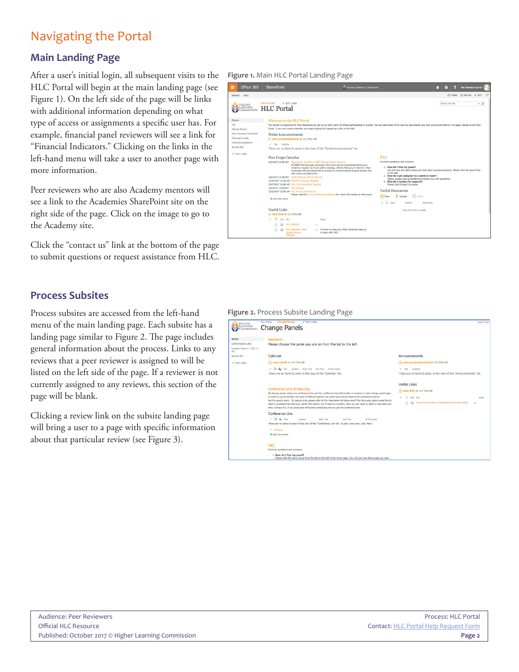## Navigating the Portal

#### **Main Landing Page**

After a user's initial login, all subsequent visits to the HLC Portal will begin at the main landing page (see Figure 1). On the left side of the page will be links with additional information depending on what type of access or assignments a specific user has. For example, financial panel reviewers will see a link for "Financial Indicators." Clicking on the links in the left-hand menu will take a user to another page with more information.

Peer reviewers who are also Academy mentors will see a link to the Academies SharePoint site on the right side of the page. Click on the image to go to the Academy site.

Click the "contact us" link at the bottom of the page to submit questions or request assistance from HLC.

#### **Process Subsites**

Process subsites are accessed from the left-hand menu of the main landing page. Each subsite has a landing page similar to Figure 2. The page includes general information about the process. Links to any reviews that a peer reviewer is assigned to will be listed on the left side of the page. If a reviewer is not currently assigned to any reviews, this section of the page will be blank.

Clicking a review link on the subsite landing page will bring a user to a page with specific information about that particular review (see Figure 3).

**Figure 1.** Main HLC Portal Landing Page



#### **Figure 2.** Process Subsite Landing Page